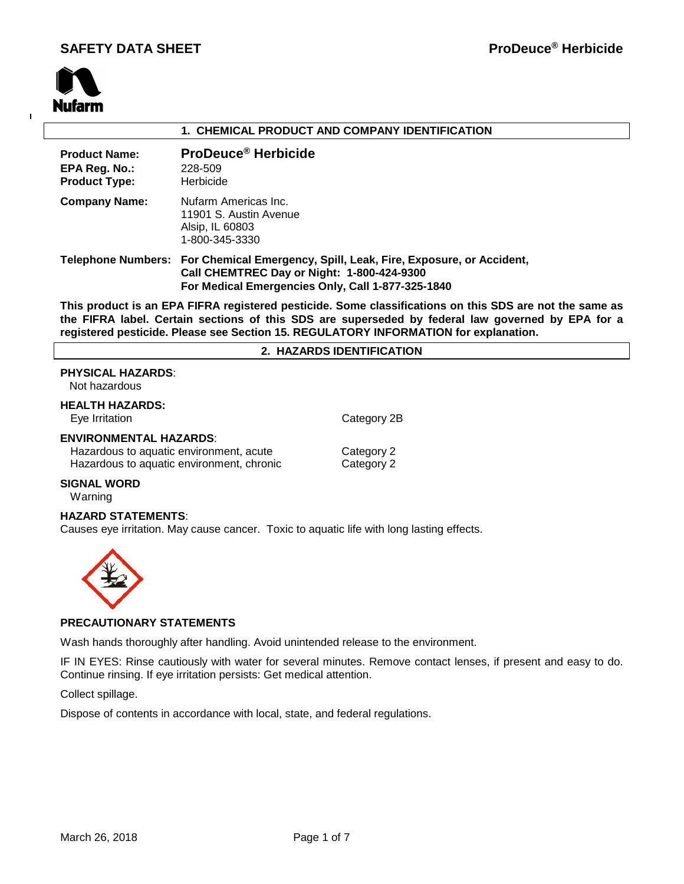

 $\overline{1}$ 

#### **1. CHEMICAL PRODUCT AND COMPANY IDENTIFICATION**

| <b>Product Name:</b><br>EPA Reg. No.:<br><b>Product Type:</b> | ProDeuce <sup>®</sup> Herbicide<br>228-509<br>Herbicide                                                                                                                                 |
|---------------------------------------------------------------|-----------------------------------------------------------------------------------------------------------------------------------------------------------------------------------------|
| <b>Company Name:</b>                                          | Nufarm Americas Inc.<br>11901 S. Austin Avenue<br>Alsip, IL 60803<br>1-800-345-3330                                                                                                     |
|                                                               | Telephone Numbers: For Chemical Emergency, Spill, Leak, Fire, Exposure, or Accident,<br>Call CHEMTREC Day or Night: 1-800-424-9300<br>For Medical Emergencies Only, Call 1-877-325-1840 |

**This product is an EPA FIFRA registered pesticide. Some classifications on this SDS are not the same as the FIFRA label. Certain sections of this SDS are superseded by federal law governed by EPA for a registered pesticide. Please see Section 15. REGULATORY INFORMATION for explanation.**

#### **2. HAZARDS IDENTIFICATION**

#### **PHYSICAL HAZARDS**:

Not hazardous

**HEALTH HAZARDS:** Eye Irritation **Category 2B** 

#### **ENVIRONMENTAL HAZARDS**:

Hazardous to aquatic environment, acute Category 2 Hazardous to aquatic environment, chronic Category 2

#### **SIGNAL WORD**

Warning

#### **HAZARD STATEMENTS**:

Causes eye irritation. May cause cancer. Toxic to aquatic life with long lasting effects.



#### **PRECAUTIONARY STATEMENTS**

Wash hands thoroughly after handling. Avoid unintended release to the environment.

IF IN EYES: Rinse cautiously with water for several minutes. Remove contact lenses, if present and easy to do. Continue rinsing. If eye irritation persists: Get medical attention.

Collect spillage.

Dispose of contents in accordance with local, state, and federal regulations.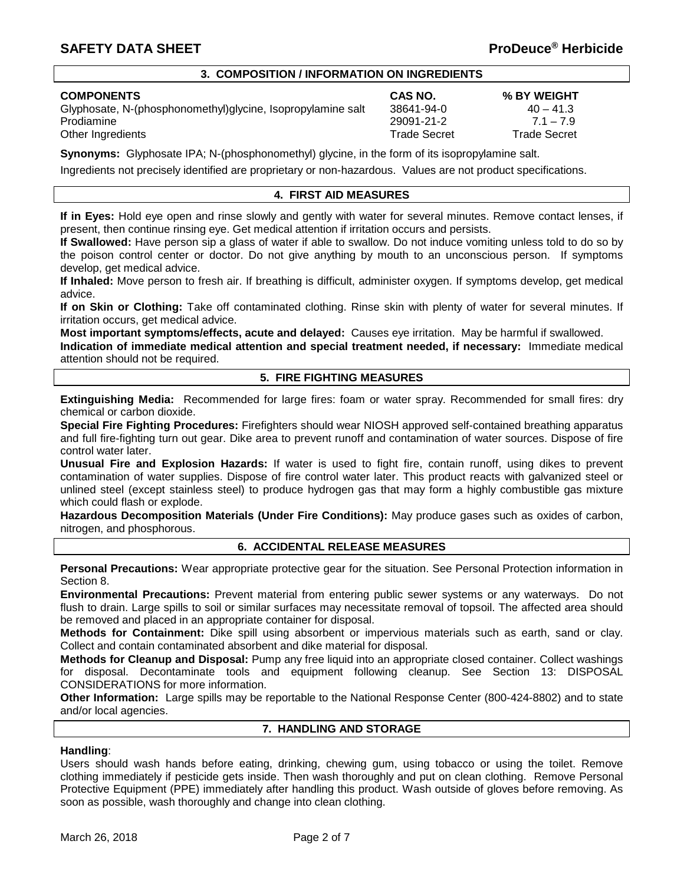#### **3. COMPOSITION / INFORMATION ON INGREDIENTS**

Glyphosate, N-(phosphonomethyl)glycine, Isopropylamine salt  $38641-94-0$  40  $-41.3$ Prodiamine 29091-21-2 7.1 – 7.9 Other Ingredients Trade Secret Trade Secret

# **COMPONENTS CAS NO. % BY WEIGHT**

**Synonyms:** Glyphosate IPA; N-(phosphonomethyl) glycine, in the form of its isopropylamine salt.

Ingredients not precisely identified are proprietary or non-hazardous. Values are not product specifications.

#### **4. FIRST AID MEASURES**

**If in Eyes:** Hold eye open and rinse slowly and gently with water for several minutes. Remove contact lenses, if present, then continue rinsing eye. Get medical attention if irritation occurs and persists.

**If Swallowed:** Have person sip a glass of water if able to swallow. Do not induce vomiting unless told to do so by the poison control center or doctor. Do not give anything by mouth to an unconscious person. If symptoms develop, get medical advice.

**If Inhaled:** Move person to fresh air. If breathing is difficult, administer oxygen. If symptoms develop, get medical advice.

**If on Skin or Clothing:** Take off contaminated clothing. Rinse skin with plenty of water for several minutes. If irritation occurs, get medical advice.

**Most important symptoms/effects, acute and delayed:** Causes eye irritation. May be harmful if swallowed.

**Indication of immediate medical attention and special treatment needed, if necessary:** Immediate medical attention should not be required.

#### **5. FIRE FIGHTING MEASURES**

**Extinguishing Media:** Recommended for large fires: foam or water spray. Recommended for small fires: dry chemical or carbon dioxide.

**Special Fire Fighting Procedures:** Firefighters should wear NIOSH approved self-contained breathing apparatus and full fire-fighting turn out gear. Dike area to prevent runoff and contamination of water sources. Dispose of fire control water later.

**Unusual Fire and Explosion Hazards:** If water is used to fight fire, contain runoff, using dikes to prevent contamination of water supplies. Dispose of fire control water later. This product reacts with galvanized steel or unlined steel (except stainless steel) to produce hydrogen gas that may form a highly combustible gas mixture which could flash or explode.

**Hazardous Decomposition Materials (Under Fire Conditions):** May produce gases such as oxides of carbon, nitrogen, and phosphorous.

#### **6. ACCIDENTAL RELEASE MEASURES**

**Personal Precautions:** Wear appropriate protective gear for the situation. See Personal Protection information in Section 8.

**Environmental Precautions:** Prevent material from entering public sewer systems or any waterways. Do not flush to drain. Large spills to soil or similar surfaces may necessitate removal of topsoil. The affected area should be removed and placed in an appropriate container for disposal.

**Methods for Containment:** Dike spill using absorbent or impervious materials such as earth, sand or clay. Collect and contain contaminated absorbent and dike material for disposal.

**Methods for Cleanup and Disposal:** Pump any free liquid into an appropriate closed container. Collect washings for disposal. Decontaminate tools and equipment following cleanup. See Section 13: DISPOSAL CONSIDERATIONS for more information.

**Other Information:** Large spills may be reportable to the National Response Center (800-424-8802) and to state and/or local agencies.

#### **7. HANDLING AND STORAGE**

#### **Handling**:

Users should wash hands before eating, drinking, chewing gum, using tobacco or using the toilet. Remove clothing immediately if pesticide gets inside. Then wash thoroughly and put on clean clothing. Remove Personal Protective Equipment (PPE) immediately after handling this product. Wash outside of gloves before removing. As soon as possible, wash thoroughly and change into clean clothing.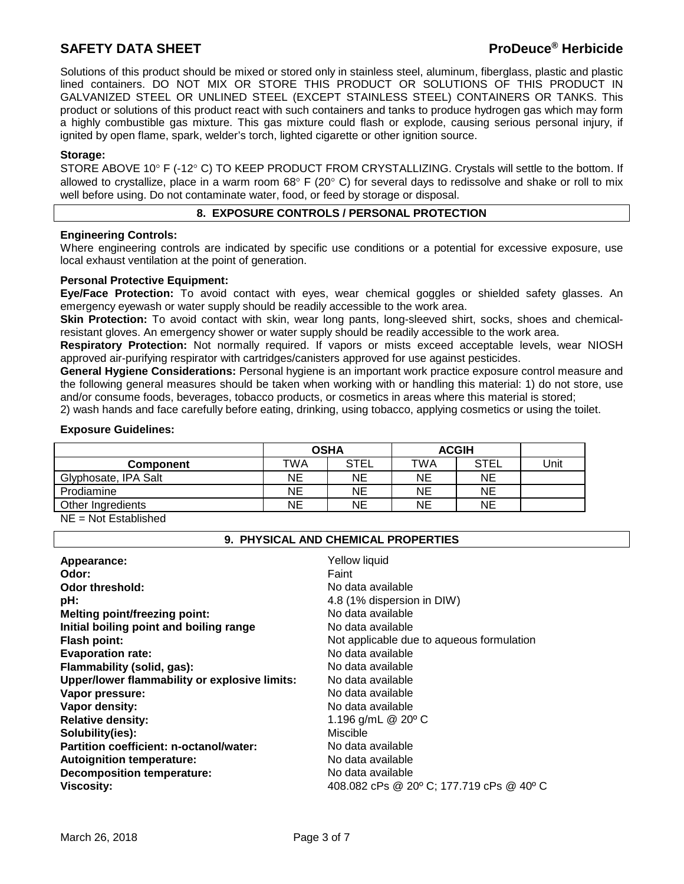Solutions of this product should be mixed or stored only in stainless steel, aluminum, fiberglass, plastic and plastic lined containers. DO NOT MIX OR STORE THIS PRODUCT OR SOLUTIONS OF THIS PRODUCT IN GALVANIZED STEEL OR UNLINED STEEL (EXCEPT STAINLESS STEEL) CONTAINERS OR TANKS. This product or solutions of this product react with such containers and tanks to produce hydrogen gas which may form a highly combustible gas mixture. This gas mixture could flash or explode, causing serious personal injury, if ignited by open flame, spark, welder's torch, lighted cigarette or other ignition source.

#### **Storage:**

STORE ABOVE 10° F (-12° C) TO KEEP PRODUCT FROM CRYSTALLIZING. Crystals will settle to the bottom. If allowed to crystallize, place in a warm room  $68^{\circ}$  F (20 $^{\circ}$  C) for several days to redissolve and shake or roll to mix well before using. Do not contaminate water, food, or feed by storage or disposal.

#### **8. EXPOSURE CONTROLS / PERSONAL PROTECTION**

#### **Engineering Controls:**

Where engineering controls are indicated by specific use conditions or a potential for excessive exposure, use local exhaust ventilation at the point of generation.

#### **Personal Protective Equipment:**

**Eye/Face Protection:** To avoid contact with eyes, wear chemical goggles or shielded safety glasses. An emergency eyewash or water supply should be readily accessible to the work area.

**Skin Protection:** To avoid contact with skin, wear long pants, long-sleeved shirt, socks, shoes and chemicalresistant gloves. An emergency shower or water supply should be readily accessible to the work area.

**Respiratory Protection:** Not normally required. If vapors or mists exceed acceptable levels, wear NIOSH approved air-purifying respirator with cartridges/canisters approved for use against pesticides.

**General Hygiene Considerations:** Personal hygiene is an important work practice exposure control measure and the following general measures should be taken when working with or handling this material: 1) do not store, use and/or consume foods, beverages, tobacco products, or cosmetics in areas where this material is stored;

2) wash hands and face carefully before eating, drinking, using tobacco, applying cosmetics or using the toilet.

#### **Exposure Guidelines:**

|                      | <b>OSHA</b> |             | <b>ACGIH</b> |             |      |
|----------------------|-------------|-------------|--------------|-------------|------|
| <b>Component</b>     | TWA         | <b>STEL</b> | TWA          | <b>STEL</b> | Unit |
| Glyphosate, IPA Salt | NΕ          | <b>NE</b>   | ΝE           | NE          |      |
| Prodiamine           | ΝE          | NE          | ΝE           | NE          |      |
| Other Ingredients    | NΕ          | ΝE          | ΝE           | NΕ          |      |
|                      |             |             |              |             |      |

NE = Not Established

#### **9. PHYSICAL AND CHEMICAL PROPERTIES**

| Appearance:                                   | Yellow liquid                             |
|-----------------------------------------------|-------------------------------------------|
| Odor:                                         | Faint                                     |
| <b>Odor threshold:</b>                        | No data available                         |
| pH:                                           | 4.8 (1% dispersion in DIW)                |
| <b>Melting point/freezing point:</b>          | No data available                         |
| Initial boiling point and boiling range       | No data available                         |
| <b>Flash point:</b>                           | Not applicable due to aqueous formulation |
| <b>Evaporation rate:</b>                      | No data available                         |
| Flammability (solid, gas):                    | No data available                         |
| Upper/lower flammability or explosive limits: | No data available                         |
| Vapor pressure:                               | No data available                         |
| Vapor density:                                | No data available                         |
| <b>Relative density:</b>                      | 1.196 g/mL $@$ 20 $°C$                    |
| Solubility(ies):                              | Miscible                                  |
| Partition coefficient: n-octanol/water:       | No data available                         |
|                                               |                                           |
| <b>Autoignition temperature:</b>              | No data available                         |
| <b>Decomposition temperature:</b>             | No data available                         |
| <b>Viscosity:</b>                             | 408.082 cPs @ 20° C; 177.719 cPs @ 40° C  |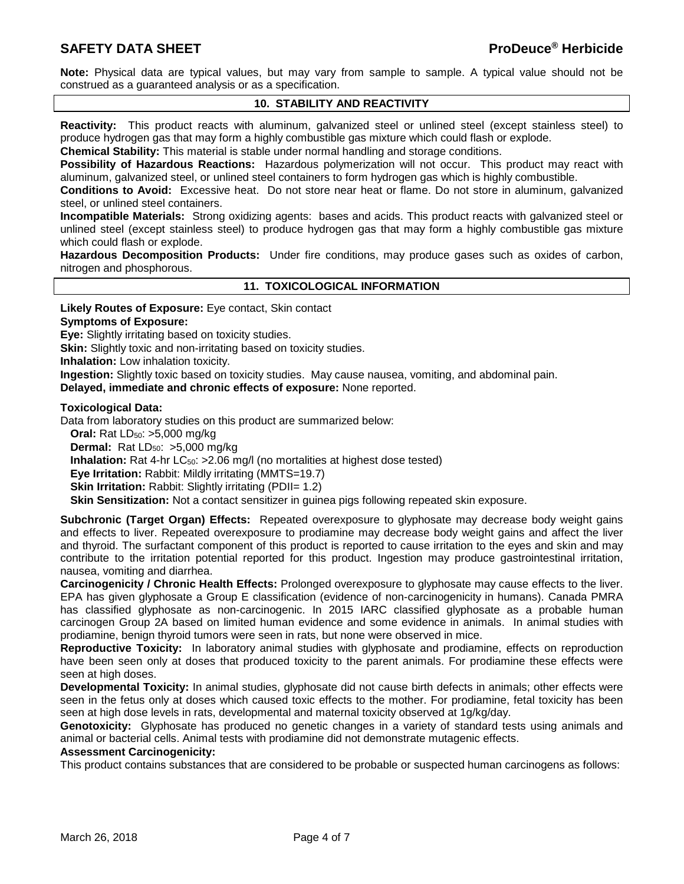**Note:** Physical data are typical values, but may vary from sample to sample. A typical value should not be construed as a guaranteed analysis or as a specification.

#### **10. STABILITY AND REACTIVITY**

**Reactivity:** This product reacts with aluminum, galvanized steel or unlined steel (except stainless steel) to produce hydrogen gas that may form a highly combustible gas mixture which could flash or explode.

**Chemical Stability:** This material is stable under normal handling and storage conditions.

**Possibility of Hazardous Reactions:** Hazardous polymerization will not occur. This product may react with aluminum, galvanized steel, or unlined steel containers to form hydrogen gas which is highly combustible.

**Conditions to Avoid:** Excessive heat. Do not store near heat or flame. Do not store in aluminum, galvanized steel, or unlined steel containers.

**Incompatible Materials:** Strong oxidizing agents: bases and acids. This product reacts with galvanized steel or unlined steel (except stainless steel) to produce hydrogen gas that may form a highly combustible gas mixture which could flash or explode.

**Hazardous Decomposition Products:** Under fire conditions, may produce gases such as oxides of carbon, nitrogen and phosphorous.

**11. TOXICOLOGICAL INFORMATION**

**Likely Routes of Exposure:** Eye contact, Skin contact

#### **Symptoms of Exposure:**

**Eye:** Slightly irritating based on toxicity studies.

**Skin:** Slightly toxic and non-irritating based on toxicity studies.

**Inhalation:** Low inhalation toxicity.

**Ingestion:** Slightly toxic based on toxicity studies. May cause nausea, vomiting, and abdominal pain.

**Delayed, immediate and chronic effects of exposure:** None reported.

#### **Toxicological Data:**

Data from laboratory studies on this product are summarized below:

**Oral:** Rat LD<sub>50</sub>: >5,000 mg/kg

**Dermal:** Rat LD<sub>50</sub>: >5,000 mg/kg

**Inhalation:** Rat 4-hr LC<sub>50</sub>: >2.06 mg/l (no mortalities at highest dose tested)

**Eye Irritation:** Rabbit: Mildly irritating (MMTS=19.7)

**Skin Irritation:** Rabbit: Slightly irritating (PDII= 1.2)

**Skin Sensitization:** Not a contact sensitizer in guinea pigs following repeated skin exposure.

**Subchronic (Target Organ) Effects:** Repeated overexposure to glyphosate may decrease body weight gains and effects to liver. Repeated overexposure to prodiamine may decrease body weight gains and affect the liver and thyroid. The surfactant component of this product is reported to cause irritation to the eyes and skin and may contribute to the irritation potential reported for this product. Ingestion may produce gastrointestinal irritation, nausea, vomiting and diarrhea.

**Carcinogenicity / Chronic Health Effects:** Prolonged overexposure to glyphosate may cause effects to the liver. EPA has given glyphosate a Group E classification (evidence of non-carcinogenicity in humans). Canada PMRA has classified glyphosate as non-carcinogenic. In 2015 IARC classified glyphosate as a probable human carcinogen Group 2A based on limited human evidence and some evidence in animals. In animal studies with prodiamine, benign thyroid tumors were seen in rats, but none were observed in mice.

**Reproductive Toxicity:** In laboratory animal studies with glyphosate and prodiamine, effects on reproduction have been seen only at doses that produced toxicity to the parent animals. For prodiamine these effects were seen at high doses.

**Developmental Toxicity:** In animal studies, glyphosate did not cause birth defects in animals; other effects were seen in the fetus only at doses which caused toxic effects to the mother. For prodiamine, fetal toxicity has been seen at high dose levels in rats, developmental and maternal toxicity observed at 1g/kg/day.

**Genotoxicity:** Glyphosate has produced no genetic changes in a variety of standard tests using animals and animal or bacterial cells. Animal tests with prodiamine did not demonstrate mutagenic effects.

#### **Assessment Carcinogenicity:**

This product contains substances that are considered to be probable or suspected human carcinogens as follows: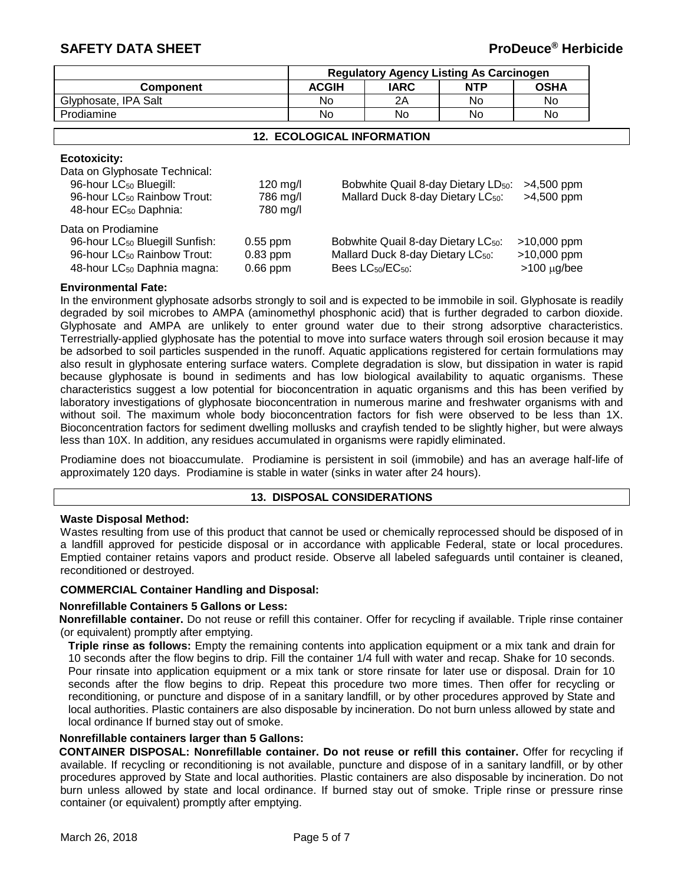|                      | <b>Regulatory Agency Listing As Carcinogen</b> |             |            |             |
|----------------------|------------------------------------------------|-------------|------------|-------------|
| Component            | <b>ACGIH</b>                                   | <b>IARC</b> | <b>NTP</b> | <b>OSHA</b> |
| Glyphosate, IPA Salt | No                                             | 2Α          | No         | No          |
| Prodiamine           | No                                             | No          | No         | No          |

#### **12. ECOLOGICAL INFORMATION**

#### **Ecotoxicity:**

| Data on Glyphosate Technical:<br>96-hour LC <sub>50</sub> Bluegill:<br>96-hour LC <sub>50</sub> Rainbow Trout:<br>48-hour EC <sub>50</sub> Daphnia:    | $120$ mg/l<br>786 mg/l<br>780 mg/l     | Bobwhite Quail 8-day Dietary LD <sub>50</sub> :<br>Mallard Duck 8-day Dietary LC <sub>50</sub> :                                              | $>4,500$ ppm<br>$>4,500$ ppm                        |
|--------------------------------------------------------------------------------------------------------------------------------------------------------|----------------------------------------|-----------------------------------------------------------------------------------------------------------------------------------------------|-----------------------------------------------------|
| Data on Prodiamine<br>96-hour LC <sub>50</sub> Bluegill Sunfish:<br>96-hour LC <sub>50</sub> Rainbow Trout:<br>48-hour LC <sub>50</sub> Daphnia magna: | $0.55$ ppm<br>$0.83$ ppm<br>$0.66$ ppm | Bobwhite Quail 8-day Dietary LC <sub>50</sub> :<br>Mallard Duck 8-day Dietary LC <sub>50</sub> :<br>Bees LC <sub>50</sub> /EC <sub>50</sub> : | $>10,000$ ppm<br>$>10,000$ ppm<br>$>100 \mu g/$ bee |

#### **Environmental Fate:**

In the environment glyphosate adsorbs strongly to soil and is expected to be immobile in soil. Glyphosate is readily degraded by soil microbes to AMPA (aminomethyl phosphonic acid) that is further degraded to carbon dioxide. Glyphosate and AMPA are unlikely to enter ground water due to their strong adsorptive characteristics. Terrestrially-applied glyphosate has the potential to move into surface waters through soil erosion because it may be adsorbed to soil particles suspended in the runoff. Aquatic applications registered for certain formulations may also result in glyphosate entering surface waters. Complete degradation is slow, but dissipation in water is rapid because glyphosate is bound in sediments and has low biological availability to aquatic organisms. These characteristics suggest a low potential for bioconcentration in aquatic organisms and this has been verified by laboratory investigations of glyphosate bioconcentration in numerous marine and freshwater organisms with and without soil. The maximum whole body bioconcentration factors for fish were observed to be less than 1X. Bioconcentration factors for sediment dwelling mollusks and crayfish tended to be slightly higher, but were always less than 10X. In addition, any residues accumulated in organisms were rapidly eliminated.

Prodiamine does not bioaccumulate. Prodiamine is persistent in soil (immobile) and has an average half-life of approximately 120 days. Prodiamine is stable in water (sinks in water after 24 hours).

#### **13. DISPOSAL CONSIDERATIONS**

#### **Waste Disposal Method:**

Wastes resulting from use of this product that cannot be used or chemically reprocessed should be disposed of in a landfill approved for pesticide disposal or in accordance with applicable Federal, state or local procedures. Emptied container retains vapors and product reside. Observe all labeled safeguards until container is cleaned, reconditioned or destroyed.

#### **COMMERCIAL Container Handling and Disposal:**

#### **Nonrefillable Containers 5 Gallons or Less:**

**Nonrefillable container.** Do not reuse or refill this container. Offer for recycling if available. Triple rinse container (or equivalent) promptly after emptying.

**Triple rinse as follows:** Empty the remaining contents into application equipment or a mix tank and drain for 10 seconds after the flow begins to drip. Fill the container 1/4 full with water and recap. Shake for 10 seconds. Pour rinsate into application equipment or a mix tank or store rinsate for later use or disposal. Drain for 10 seconds after the flow begins to drip. Repeat this procedure two more times. Then offer for recycling or reconditioning, or puncture and dispose of in a sanitary landfill, or by other procedures approved by State and local authorities. Plastic containers are also disposable by incineration. Do not burn unless allowed by state and local ordinance If burned stay out of smoke.

#### **Nonrefillable containers larger than 5 Gallons:**

**CONTAINER DISPOSAL: Nonrefillable container. Do not reuse or refill this container.** Offer for recycling if available. If recycling or reconditioning is not available, puncture and dispose of in a sanitary landfill, or by other procedures approved by State and local authorities. Plastic containers are also disposable by incineration. Do not burn unless allowed by state and local ordinance. If burned stay out of smoke. Triple rinse or pressure rinse container (or equivalent) promptly after emptying.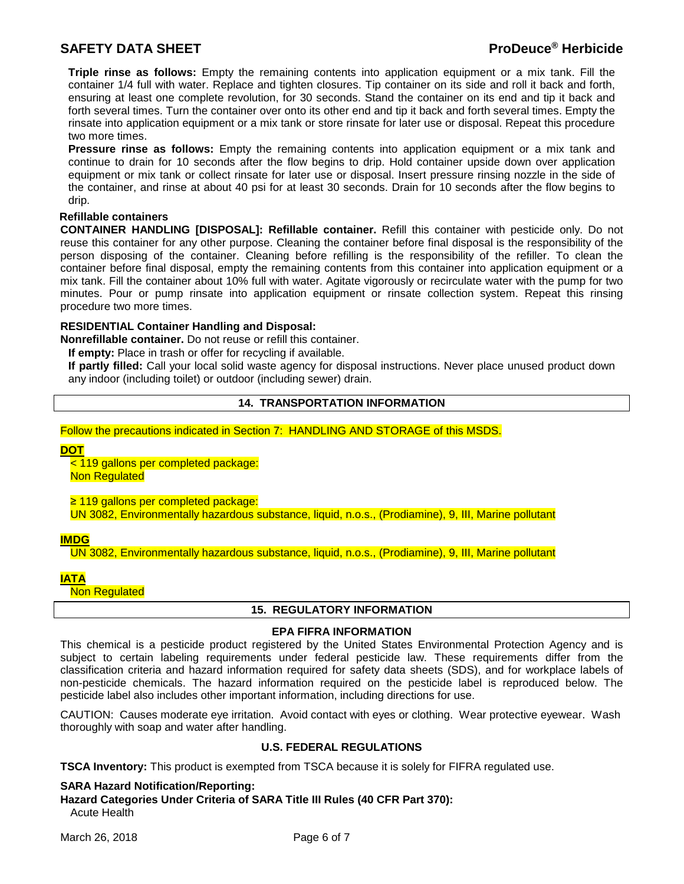**Triple rinse as follows:** Empty the remaining contents into application equipment or a mix tank. Fill the container 1/4 full with water. Replace and tighten closures. Tip container on its side and roll it back and forth, ensuring at least one complete revolution, for 30 seconds. Stand the container on its end and tip it back and forth several times. Turn the container over onto its other end and tip it back and forth several times. Empty the rinsate into application equipment or a mix tank or store rinsate for later use or disposal. Repeat this procedure two more times.

**Pressure rinse as follows:** Empty the remaining contents into application equipment or a mix tank and continue to drain for 10 seconds after the flow begins to drip. Hold container upside down over application equipment or mix tank or collect rinsate for later use or disposal. Insert pressure rinsing nozzle in the side of the container, and rinse at about 40 psi for at least 30 seconds. Drain for 10 seconds after the flow begins to drip.

#### **Refillable containers**

**CONTAINER HANDLING [DISPOSAL]: Refillable container.** Refill this container with pesticide only. Do not reuse this container for any other purpose. Cleaning the container before final disposal is the responsibility of the person disposing of the container. Cleaning before refilling is the responsibility of the refiller. To clean the container before final disposal, empty the remaining contents from this container into application equipment or a mix tank. Fill the container about 10% full with water. Agitate vigorously or recirculate water with the pump for two minutes. Pour or pump rinsate into application equipment or rinsate collection system. Repeat this rinsing procedure two more times.

#### **RESIDENTIAL Container Handling and Disposal:**

**Nonrefillable container.** Do not reuse or refill this container.

**If empty:** Place in trash or offer for recycling if available.

**If partly filled:** Call your local solid waste agency for disposal instructions. Never place unused product down any indoor (including toilet) or outdoor (including sewer) drain.

#### **14. TRANSPORTATION INFORMATION**

Follow the precautions indicated in Section 7: HANDLING AND STORAGE of this MSDS.

**DOT**

< 119 gallons per completed package: **Non Regulated** 

≥ 119 gallons per completed package:

UN 3082, Environmentally hazardous substance, liquid, n.o.s., (Prodiamine), 9, III, Marine pollutant

#### **IMDG**

UN 3082, Environmentally hazardous substance, liquid, n.o.s., (Prodiamine), 9, III, Marine pollutant

#### **IATA**

**Non Regulated** 

#### **15. REGULATORY INFORMATION**

#### **EPA FIFRA INFORMATION**

This chemical is a pesticide product registered by the United States Environmental Protection Agency and is subject to certain labeling requirements under federal pesticide law. These requirements differ from the classification criteria and hazard information required for safety data sheets (SDS), and for workplace labels of non-pesticide chemicals. The hazard information required on the pesticide label is reproduced below. The pesticide label also includes other important information, including directions for use.

CAUTION: Causes moderate eye irritation. Avoid contact with eyes or clothing. Wear protective eyewear. Wash thoroughly with soap and water after handling.

#### **U.S. FEDERAL REGULATIONS**

**TSCA Inventory:** This product is exempted from TSCA because it is solely for FIFRA regulated use.

#### **SARA Hazard Notification/Reporting:**

**Hazard Categories Under Criteria of SARA Title III Rules (40 CFR Part 370):** Acute Health